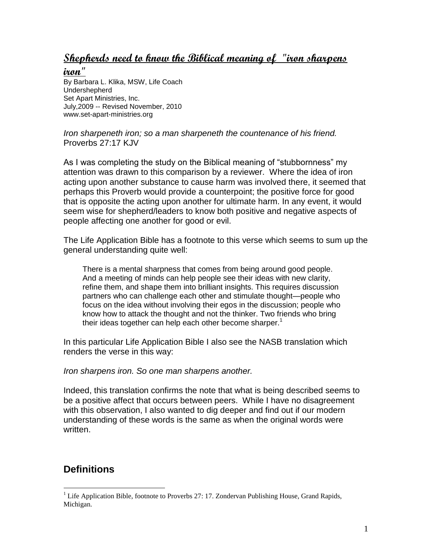## **Shepherds need to know the Biblical meaning of "iron sharpens**

**iron"** 

By Barbara L. Klika, MSW, Life Coach Undershepherd Set Apart Ministries, Inc. July,2009 -- Revised November, 2010 www.set-apart-ministries.org

*Iron sharpeneth iron; so a man sharpeneth the countenance of his friend.* Proverbs 27:17 KJV

As I was completing the study on the Biblical meaning of "stubbornness" my attention was drawn to this comparison by a reviewer. Where the idea of iron acting upon another substance to cause harm was involved there, it seemed that perhaps this Proverb would provide a counterpoint; the positive force for good that is opposite the acting upon another for ultimate harm. In any event, it would seem wise for shepherd/leaders to know both positive and negative aspects of people affecting one another for good or evil.

The Life Application Bible has a footnote to this verse which seems to sum up the general understanding quite well:

There is a mental sharpness that comes from being around good people. And a meeting of minds can help people see their ideas with new clarity, refine them, and shape them into brilliant insights. This requires discussion partners who can challenge each other and stimulate thought—people who focus on the idea without involving their egos in the discussion; people who know how to attack the thought and not the thinker. Two friends who bring their ideas together can help each other become sharper.<sup>1</sup>

In this particular Life Application Bible I also see the NASB translation which renders the verse in this way:

*Iron sharpens iron. So one man sharpens another.*

Indeed, this translation confirms the note that what is being described seems to be a positive affect that occurs between peers. While I have no disagreement with this observation, I also wanted to dig deeper and find out if our modern understanding of these words is the same as when the original words were written.

# **Definitions**

 $\overline{a}$ 

 $1$  Life Application Bible, footnote to Proverbs 27: 17. Zondervan Publishing House, Grand Rapids, Michigan.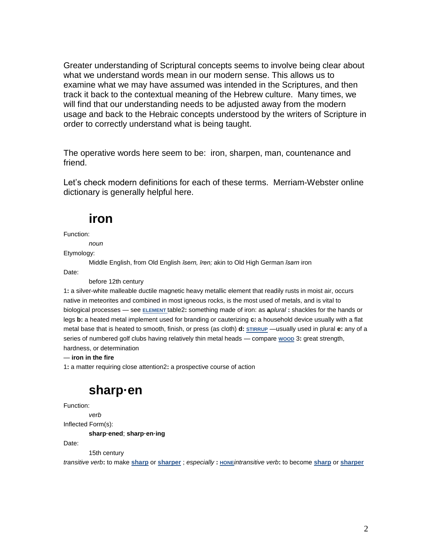Greater understanding of Scriptural concepts seems to involve being clear about what we understand words mean in our modern sense. This allows us to examine what we may have assumed was intended in the Scriptures, and then track it back to the contextual meaning of the Hebrew culture. Many times, we will find that our understanding needs to be adjusted away from the modern usage and back to the Hebraic concepts understood by the writers of Scripture in order to correctly understand what is being taught.

The operative words here seem to be: iron, sharpen, man, countenance and friend.

Let's check modern definitions for each of these terms. Merriam-Webster online dictionary is generally helpful here.

# **iron**

Function:

*noun*

Etymology:

Middle English, from Old English *īsern, īren;* akin to Old High German *īsarn* iron Date:

before 12th century

1**:** a silver-white malleable ductile magnetic heavy metallic element that readily rusts in moist air, occurs native in meteorites and combined in most igneous rocks, is the most used of metals, and is vital to biological processes — see **[ELEMENT](http://www.merriam-webster.com/dictionary/element)** table2**:** something made of iron: as **a***plural* **:** shackles for the hands or legs **b:** a heated metal implement used for branding or cauterizing **c:** a household device usually with a flat metal base that is heated to smooth, finish, or press (as cloth) **d: [STIRRUP](http://www.merriam-webster.com/dictionary/stirrup)** —usually used in plural **e:** any of a series of numbered golf clubs having relatively thin metal heads — compare woop 3: great strength, hardness, or determination

### — **iron in the fire**

1**:** a matter requiring close attention2**:** a prospective course of action

# **sharp·en**

Function:

*verb*

Inflected Form(s):

**sharp·ened**; **sharp·en·ing**

Date:

15th century

*transitive verb***:** to make **[sharp](http://www.merriam-webster.com/dictionary/sharp)** or **[sharper](http://www.merriam-webster.com/dictionary/sharper)** ; *especially* **: [HONE](http://www.merriam-webster.com/dictionary/hone)***intransitive verb***:** to become **[sharp](http://www.merriam-webster.com/dictionary/sharp)** or **[sharper](http://www.merriam-webster.com/dictionary/sharper)**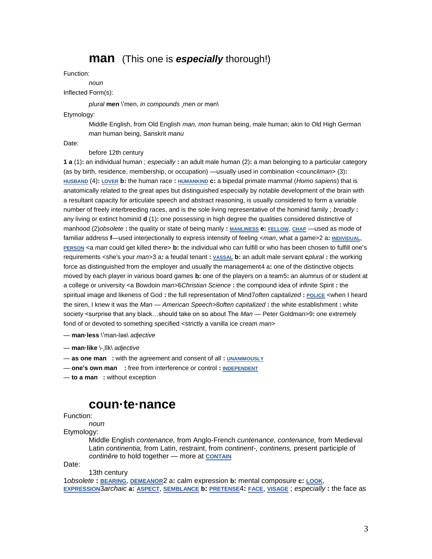## **man** (This one is *especially* thorough!)

### Function:

*noun*

### Inflected Form(s):

*plural* **men** \ˈmen, *in compounds* ˌmen *or* mən\

#### Etymology:

Middle English, from Old English *man, mon* human being, male human; akin to Old High German *man* human being, Sanskrit *manu*

Date:

#### before 12th century

**1 a** (1)**:** an individual human ; *especially* **:** an adult male human (2)**:** a man belonging to a particular category (as by birth, residence, membership, or occupation) —usually used in combination <council*man*> (3)**: [HUSBAND](http://www.merriam-webster.com/dictionary/husband)** (4)**: [LOVER](http://www.merriam-webster.com/dictionary/lover) b:** the human race **: [HUMANKIND](http://www.merriam-webster.com/dictionary/humankind) c:** a bipedal primate mammal (*Homo sapiens*) that is anatomically related to the great apes but distinguished especially by notable development of the brain with a resultant capacity for articulate speech and abstract reasoning, is usually considered to form a variable number of freely interbreeding races, and is the sole living representative of the hominid family ; *broadly* **:** any living or extinct hominid **d** (1)**:** one possessing in high degree the qualities considered distinctive of manhood (2)*obsolete* **:** the quality or state of being manly **: [MANLINESS](http://www.merriam-webster.com/dictionary/manliness) e: [FELLOW](http://www.merriam-webster.com/dictionary/fellow)**, **[CHAP](http://www.merriam-webster.com/dictionary/chap)** —used as mode of familiar address **f**—used interjectionally to express intensity of feeling <*man*, what a game>2 a**: [INDIVIDUAL](http://www.merriam-webster.com/dictionary/individual)**, **[PERSON](http://www.merriam-webster.com/dictionary/person)** <a *man* could get killed there> **b:** the individual who can fulfill or who has been chosen to fulfill one's requirements <she's your *man*>3 a: a feudal tenant : vassal b: an adult male servant *cplural* : the working force as distinguished from the employer and usually the management4 a**:** one of the distinctive objects moved by each player in various board games **b:** one of the players on a team5**:** an alumnus of or student at a college or university <a Bowdoin *man*>6*Christian Science* **:** the compound idea of infinite Spirit **:** the spiritual image and likeness of God **:** the full representation of Mind7*often capitalized* **: [POLICE](http://www.merriam-webster.com/dictionary/police)** <when I heard the siren, I knew it was the *Man* — *American Speech*>8*often capitalized* **:** the white establishment **:** white society <surprise that any black…should take on so about The *Man* — Peter Goldman>9**:** one extremely fond of or devoted to something specified <strictly a vanilla ice cream *man*>

— **man·less** \ˈman-ləs\ *adjective*

— **man·like** \-ˌlīk\ *adjective*

— **as one man :** with the agreement and consent of all **: [UNANIMOUSLY](http://www.merriam-webster.com/dictionary/unanimously)**

— **one's own man :** free from interference or control **: [INDEPENDENT](http://www.merriam-webster.com/dictionary/independent)**

— **to a man :** without exception

## **coun·te·nance**

### Function:

*noun*

Etymology:

Middle English *contenance,* from Anglo-French *cuntenance, contenance,* from Medieval Latin *continentia,* from Latin, restraint, from *continent-, continens,* present participle of *continēre* to hold together — more at **[CONTAIN](http://www.merriam-webster.com/dictionary/contain)**

Date:

13th century 1*obsolete* **: [BEARING](http://www.merriam-webster.com/dictionary/bearing)**, **[DEMEANOR](http://www.merriam-webster.com/dictionary/demeanor)**2 a**:** calm expression **b:** mental composure **c: [LOOK](http://www.merriam-webster.com/dictionary/look)**, **[EXPRESSION](http://www.merriam-webster.com/dictionary/expression)**3*archaic* **a: [ASPECT](http://www.merriam-webster.com/dictionary/aspect)**, **[SEMBLANCE](http://www.merriam-webster.com/dictionary/semblance) b: [PRETENSE](http://www.merriam-webster.com/dictionary/pretense)**4**: [FACE](http://www.merriam-webster.com/dictionary/face)**, **[VISAGE](http://www.merriam-webster.com/dictionary/visage)** ; *especially* **:** the face as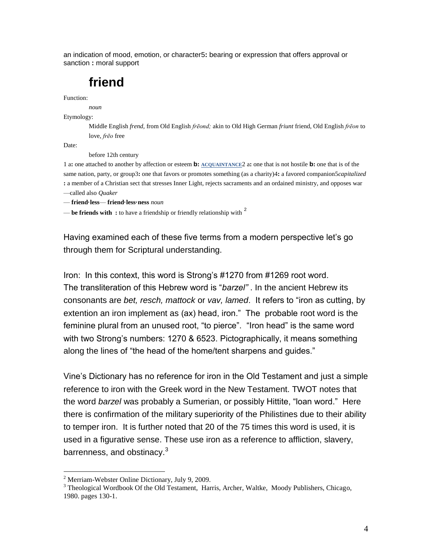an indication of mood, emotion, or character5**:** bearing or expression that offers approval or sanction **:** moral support

# **friend**

Function:

*noun*

Etymology:

Middle English *frend,* from Old English *frēond;* akin to Old High German *friunt* friend, Old English *frēon* to love, *frēo* free

Date:

 $\overline{a}$ 

before 12th century

1 a**:** one attached to another by affection or esteem **b: [ACQUAINTANCE](http://www.merriam-webster.com/dictionary/acquaintance)**2 a**:** one that is not hostile **b:** one that is of the same nation, party, or group3**:** one that favors or promotes something (as a charity)4**:** a favored companion5*capitalized* **:** a member of a Christian sect that stresses Inner Light, rejects sacraments and an ordained ministry, and opposes war —called also *Quaker*

— **friend·less**— **friend·less·ness** *noun*

— **be friends with :** to have a friendship or friendly relationship with <sup>2</sup>

Having examined each of these five terms from a modern perspective let's go through them for Scriptural understanding.

Iron: In this context, this word is Strong's #1270 from #1269 root word. The transliteration of this Hebrew word is "*barzel"* . In the ancient Hebrew its consonants are *bet, resch, mattock* or *vav, lamed*. It refers to "iron as cutting, by extention an iron implement as (ax) head, iron." The probable root word is the feminine plural from an unused root, "to pierce". "Iron head" is the same word with two Strong's numbers: 1270 & 6523. Pictographically, it means something along the lines of "the head of the home/tent sharpens and guides."

Vine's Dictionary has no reference for iron in the Old Testament and just a simple reference to iron with the Greek word in the New Testament. TWOT notes that the word *barzel* was probably a Sumerian, or possibly Hittite, "loan word." Here there is confirmation of the military superiority of the Philistines due to their ability to temper iron. It is further noted that 20 of the 75 times this word is used, it is used in a figurative sense. These use iron as a reference to affliction, slavery, barrenness, and obstinacy.<sup>3</sup>

<sup>2</sup> Merriam-Webster Online Dictionary, July 9, 2009.

<sup>&</sup>lt;sup>3</sup> Theological Wordbook Of the Old Testament, Harris, Archer, Waltke, Moody Publishers, Chicago, 1980. pages 130-1.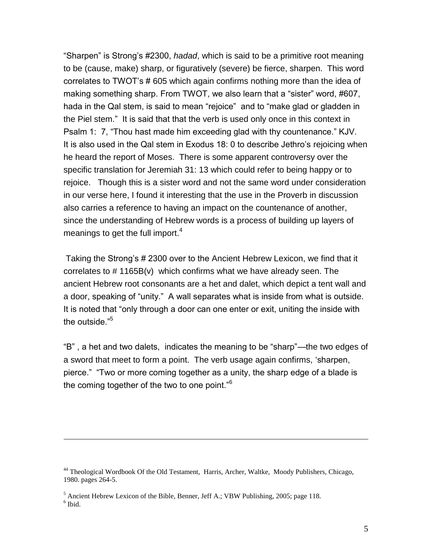"Sharpen" is Strong's #2300, *hadad*, which is said to be a primitive root meaning to be (cause, make) sharp, or figuratively (severe) be fierce, sharpen. This word correlates to TWOT's # 605 which again confirms nothing more than the idea of making something sharp. From TWOT, we also learn that a "sister" word, #607, hada in the Qal stem, is said to mean "rejoice" and to "make glad or gladden in the Piel stem." It is said that that the verb is used only once in this context in Psalm 1: 7, "Thou hast made him exceeding glad with thy countenance." KJV. It is also used in the Qal stem in Exodus 18: 0 to describe Jethro's rejoicing when he heard the report of Moses. There is some apparent controversy over the specific translation for Jeremiah 31: 13 which could refer to being happy or to rejoice. Though this is a sister word and not the same word under consideration in our verse here, I found it interesting that the use in the Proverb in discussion also carries a reference to having an impact on the countenance of another, since the understanding of Hebrew words is a process of building up layers of meanings to get the full import. $4$ 

Taking the Strong's # 2300 over to the Ancient Hebrew Lexicon, we find that it correlates to  $\#$  1165B(v) which confirms what we have already seen. The ancient Hebrew root consonants are a het and dalet, which depict a tent wall and a door, speaking of "unity." A wall separates what is inside from what is outside. It is noted that "only through a door can one enter or exit, uniting the inside with the outside."<sup>5</sup>

"B" , a het and two dalets, indicates the meaning to be "sharp"—the two edges of a sword that meet to form a point. The verb usage again confirms, 'sharpen, pierce." "Two or more coming together as a unity, the sharp edge of a blade is the coming together of the two to one point."<sup>6</sup>

 $\overline{a}$ 

<sup>44</sup> Theological Wordbook Of the Old Testament, Harris, Archer, Waltke, Moody Publishers, Chicago, 1980. pages 264-5.

 $<sup>5</sup>$  Ancient Hebrew Lexicon of the Bible, Benner, Jeff A.; VBW Publishing, 2005; page 118.</sup> 6 Ibid.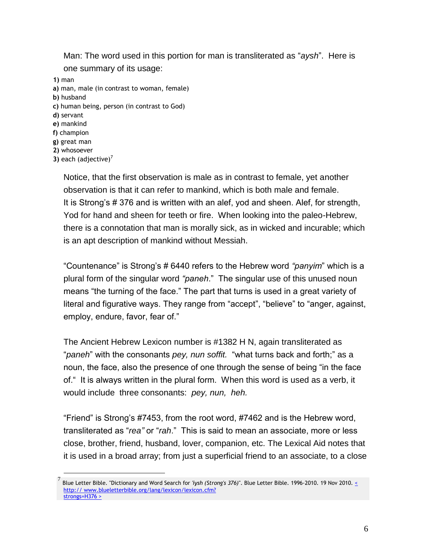Man: The word used in this portion for man is transliterated as "*aysh*". Here is one summary of its usage: **1)** man

**a)** man, male (in contrast to woman, female) **b)** husband **c)** human being, person (in contrast to God) **d)** servant **e)** mankind **f)** champion **g)** great man **2)** whosoever **3)** each (adjective)<sup>7</sup>

 $\overline{a}$ 

Notice, that the first observation is male as in contrast to female, yet another observation is that it can refer to mankind, which is both male and female. It is Strong's # 376 and is written with an alef, yod and sheen. Alef, for strength, Yod for hand and sheen for teeth or fire. When looking into the paleo-Hebrew, there is a connotation that man is morally sick, as in wicked and incurable; which is an apt description of mankind without Messiah.

"Countenance" is Strong's # 6440 refers to the Hebrew word *"panyim*" which is a plural form of the singular word *"paneh*." The singular use of this unused noun means "the turning of the face." The part that turns is used in a great variety of literal and figurative ways. They range from "accept", "believe" to "anger, against, employ, endure, favor, fear of."

The Ancient Hebrew Lexicon number is #1382 H N, again transliterated as "*paneh*" with the consonants *pey, nun soffit.* "what turns back and forth;" as a noun, the face, also the presence of one through the sense of being "in the face of." It is always written in the plural form. When this word is used as a verb, it would include three consonants: *pey, nun, heh.*

"Friend" is Strong's #7453, from the root word, #7462 and is the Hebrew word, transliterated as "*rea"* or "*rah*." This is said to mean an associate, more or less close, brother, friend, husband, lover, companion, etc. The Lexical Aid notes that it is used in a broad array; from just a superficial friend to an associate, to a close

<sup>7</sup> Blue Letter Bible. "Dictionary and Word Search for *'iysh (Strong's 376)*". Blue Letter Bible. 1996-2010. 19 Nov 2010[. <](http://www.blueletterbible.org/lang/lexicon/lexicon.cfm?strongs=H376)  http://www.blueletterbible.org/lang/lexicon/lexicon.cfm? [strongs=H376 >](http://www.blueletterbible.org/lang/lexicon/lexicon.cfm?strongs=H376)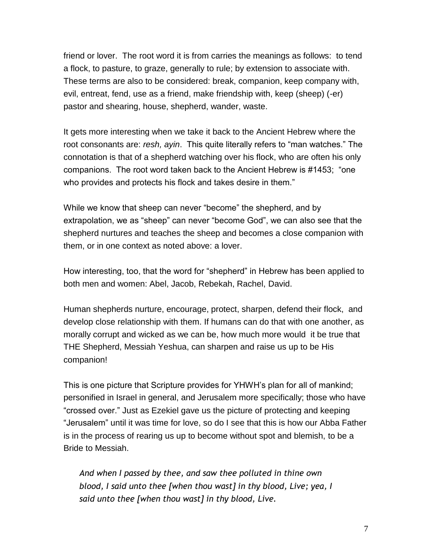friend or lover. The root word it is from carries the meanings as follows: to tend a flock, to pasture, to graze, generally to rule; by extension to associate with. These terms are also to be considered: break, companion, keep company with, evil, entreat, fend, use as a friend, make friendship with, keep (sheep) (-er) pastor and shearing, house, shepherd, wander, waste.

It gets more interesting when we take it back to the Ancient Hebrew where the root consonants are: *resh, ayin*. This quite literally refers to "man watches." The connotation is that of a shepherd watching over his flock, who are often his only companions. The root word taken back to the Ancient Hebrew is #1453; "one who provides and protects his flock and takes desire in them."

While we know that sheep can never "become" the shepherd, and by extrapolation, we as "sheep" can never "become God", we can also see that the shepherd nurtures and teaches the sheep and becomes a close companion with them, or in one context as noted above: a lover.

How interesting, too, that the word for "shepherd" in Hebrew has been applied to both men and women: Abel, Jacob, Rebekah, Rachel, David.

Human shepherds nurture, encourage, protect, sharpen, defend their flock, and develop close relationship with them. If humans can do that with one another, as morally corrupt and wicked as we can be, how much more would it be true that THE Shepherd, Messiah Yeshua, can sharpen and raise us up to be His companion!

This is one picture that Scripture provides for YHWH's plan for all of mankind; personified in Israel in general, and Jerusalem more specifically; those who have "crossed over." Just as Ezekiel gave us the picture of protecting and keeping "Jerusalem" until it was time for love, so do I see that this is how our Abba Father is in the process of rearing us up to become without spot and blemish, to be a Bride to Messiah.

*And when I passed by thee, and saw thee polluted in thine own blood, I said unto thee [when thou wast] in thy blood, Live; yea, I said unto thee [when thou wast] in thy blood, Live.*